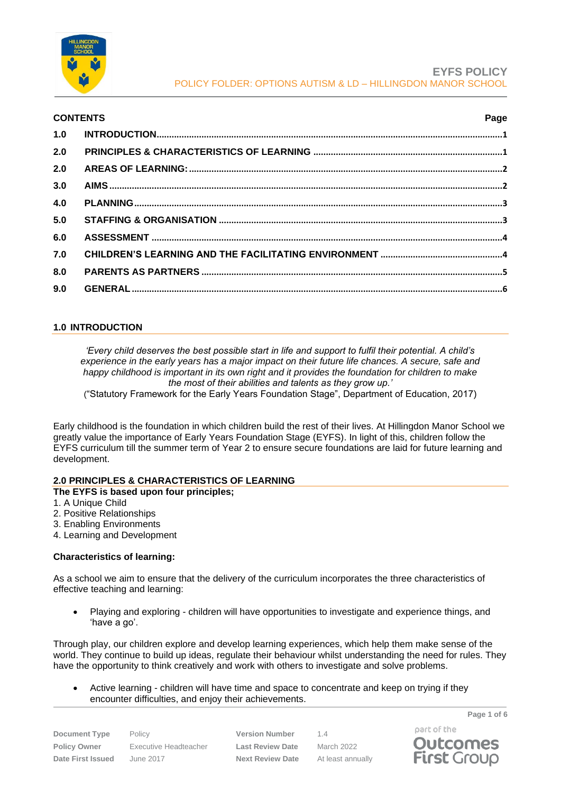

| <b>CONTENTS</b> |  | Page |
|-----------------|--|------|
| 1.0             |  |      |
| 2.0             |  |      |
| 2.0             |  |      |
| 3.0             |  |      |
| 4.0             |  |      |
| 5.0             |  |      |
| 6.0             |  |      |
| 7.0             |  |      |
| 8.0             |  |      |
| 9.0             |  |      |

# <span id="page-0-0"></span>**1.0 INTRODUCTION**

*'Every child deserves the best possible start in life and support to fulfil their potential. A child's experience in the early years has a major impact on their future life chances. A secure, safe and happy childhood is important in its own right and it provides the foundation for children to make the most of their abilities and talents as they grow up.'*

("Statutory Framework for the Early Years Foundation Stage", Department of Education, 2017)

Early childhood is the foundation in which children build the rest of their lives. At Hillingdon Manor School we greatly value the importance of Early Years Foundation Stage (EYFS). In light of this, children follow the EYFS curriculum till the summer term of Year 2 to ensure secure foundations are laid for future learning and development.

# <span id="page-0-1"></span>**2.0 PRINCIPLES & CHARACTERISTICS OF LEARNING**

**The EYFS is based upon four principles;** 

- 1. A Unique Child
- 2. Positive Relationships
- 3. Enabling Environments
- 4. Learning and Development

# **Characteristics of learning:**

As a school we aim to ensure that the delivery of the curriculum incorporates the three characteristics of effective teaching and learning:

• Playing and exploring - children will have opportunities to investigate and experience things, and 'have a go'.

Through play, our children explore and develop learning experiences, which help them make sense of the world. They continue to build up ideas, regulate their behaviour whilst understanding the need for rules. They have the opportunity to think creatively and work with others to investigate and solve problems.

• Active learning - children will have time and space to concentrate and keep on trying if they encounter difficulties, and enjoy their achievements.

**Document Type** Policy **Version Number** 1.4 **Policy Owner** Executive Headteacher **Last Review Date** March 2022 **Date First Issued** June 2017 **Next Review Date** At least annually

part of the **Outcomes First Group** 

**Page 1 of 6**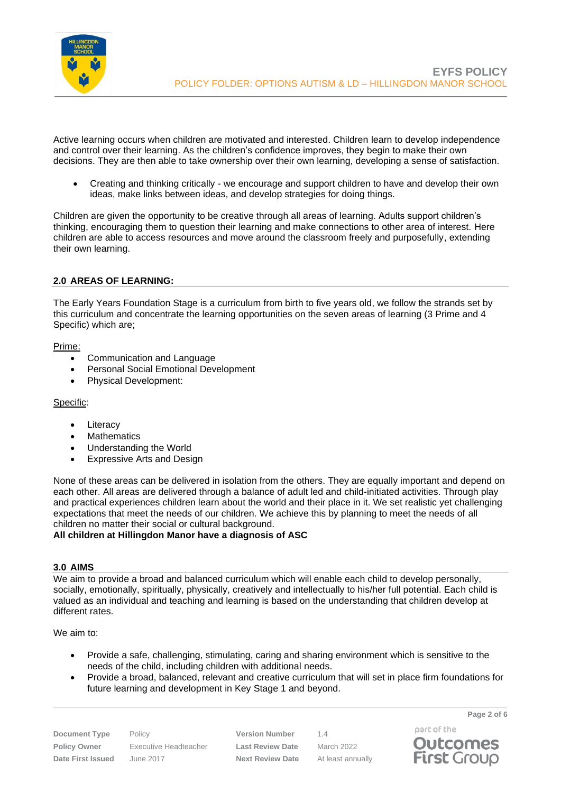

Active learning occurs when children are motivated and interested. Children learn to develop independence and control over their learning. As the children's confidence improves, they begin to make their own decisions. They are then able to take ownership over their own learning, developing a sense of satisfaction.

• Creating and thinking critically - we encourage and support children to have and develop their own ideas, make links between ideas, and develop strategies for doing things.

Children are given the opportunity to be creative through all areas of learning. Adults support children's thinking, encouraging them to question their learning and make connections to other area of interest. Here children are able to access resources and move around the classroom freely and purposefully, extending their own learning.

# <span id="page-1-0"></span>**2.0 AREAS OF LEARNING:**

The Early Years Foundation Stage is a curriculum from birth to five years old, we follow the strands set by this curriculum and concentrate the learning opportunities on the seven areas of learning (3 Prime and 4 Specific) which are;

### Prime:

- Communication and Language
- Personal Social Emotional Development
- Physical Development:

### Specific:

- Literacy
- Mathematics
- Understanding the World
- Expressive Arts and Design

None of these areas can be delivered in isolation from the others. They are equally important and depend on each other. All areas are delivered through a balance of adult led and child-initiated activities. Through play and practical experiences children learn about the world and their place in it. We set realistic yet challenging expectations that meet the needs of our children. We achieve this by planning to meet the needs of all children no matter their social or cultural background.

# **All children at Hillingdon Manor have a diagnosis of ASC**

### <span id="page-1-1"></span>**3.0 AIMS**

We aim to provide a broad and balanced curriculum which will enable each child to develop personally, socially, emotionally, spiritually, physically, creatively and intellectually to his/her full potential. Each child is valued as an individual and teaching and learning is based on the understanding that children develop at different rates.

We aim to:

- Provide a safe, challenging, stimulating, caring and sharing environment which is sensitive to the needs of the child, including children with additional needs.
- Provide a broad, balanced, relevant and creative curriculum that will set in place firm foundations for future learning and development in Key Stage 1 and beyond.

**Policy Owner** Executive Headteacher **Last Review Date** March 2022 **Date First Issued** June 2017 **Next Review Date** At least annually

**Document Type** Policy **Version Number** 1.4

**Page 2 of 6**



part of the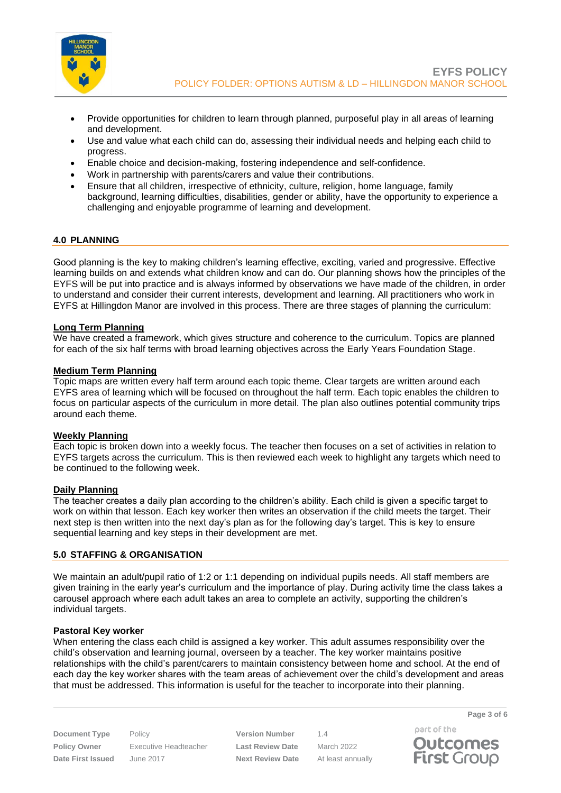

- Provide opportunities for children to learn through planned, purposeful play in all areas of learning and development.
- Use and value what each child can do, assessing their individual needs and helping each child to progress.
- Enable choice and decision-making, fostering independence and self-confidence.
- Work in partnership with parents/carers and value their contributions.
- Ensure that all children, irrespective of ethnicity, culture, religion, home language, family background, learning difficulties, disabilities, gender or ability, have the opportunity to experience a challenging and enjoyable programme of learning and development.

### <span id="page-2-0"></span>**4.0 PLANNING**

Good planning is the key to making children's learning effective, exciting, varied and progressive. Effective learning builds on and extends what children know and can do. Our planning shows how the principles of the EYFS will be put into practice and is always informed by observations we have made of the children, in order to understand and consider their current interests, development and learning. All practitioners who work in EYFS at Hillingdon Manor are involved in this process. There are three stages of planning the curriculum:

### **Long Term Planning**

We have created a framework, which gives structure and coherence to the curriculum. Topics are planned for each of the six half terms with broad learning objectives across the Early Years Foundation Stage.

### **Medium Term Planning**

Topic maps are written every half term around each topic theme. Clear targets are written around each EYFS area of learning which will be focused on throughout the half term. Each topic enables the children to focus on particular aspects of the curriculum in more detail. The plan also outlines potential community trips around each theme.

### **Weekly Planning**

Each topic is broken down into a weekly focus. The teacher then focuses on a set of activities in relation to EYFS targets across the curriculum. This is then reviewed each week to highlight any targets which need to be continued to the following week.

### **Daily Planning**

The teacher creates a daily plan according to the children's ability. Each child is given a specific target to work on within that lesson. Each key worker then writes an observation if the child meets the target. Their next step is then written into the next day's plan as for the following day's target. This is key to ensure sequential learning and key steps in their development are met.

### <span id="page-2-1"></span>**5.0 STAFFING & ORGANISATION**

We maintain an adult/pupil ratio of 1:2 or 1:1 depending on individual pupils needs. All staff members are given training in the early year's curriculum and the importance of play. During activity time the class takes a carousel approach where each adult takes an area to complete an activity, supporting the children's individual targets.

#### **Pastoral Key worker**

When entering the class each child is assigned a key worker. This adult assumes responsibility over the child's observation and learning journal, overseen by a teacher. The key worker maintains positive relationships with the child's parent/carers to maintain consistency between home and school. At the end of each day the key worker shares with the team areas of achievement over the child's development and areas that must be addressed. This information is useful for the teacher to incorporate into their planning.

**Policy Owner** Executive Headteacher **Last Review Date** March 2022 **Date First Issued** June 2017 **Next Review Date** At least annually

**Document Type** Policy **Version Number** 1.4

part of the

**Page 3 of 6**

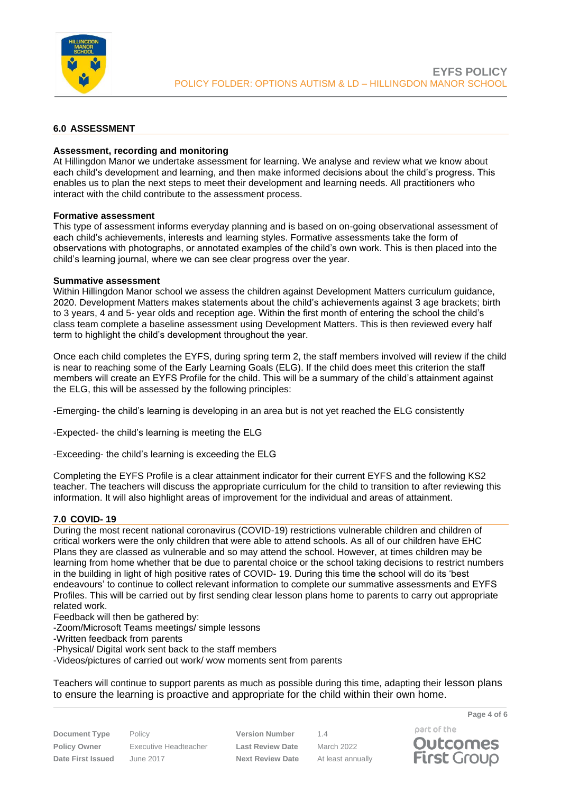

# <span id="page-3-0"></span>**6.0 ASSESSMENT**

### **Assessment, recording and monitoring**

At Hillingdon Manor we undertake assessment for learning. We analyse and review what we know about each child's development and learning, and then make informed decisions about the child's progress. This enables us to plan the next steps to meet their development and learning needs. All practitioners who interact with the child contribute to the assessment process.

### **Formative assessment**

This type of assessment informs everyday planning and is based on on-going observational assessment of each child's achievements, interests and learning styles. Formative assessments take the form of observations with photographs, or annotated examples of the child's own work. This is then placed into the child's learning journal, where we can see clear progress over the year.

#### **Summative assessment**

Within Hillingdon Manor school we assess the children against Development Matters curriculum guidance, 2020. Development Matters makes statements about the child's achievements against 3 age brackets; birth to 3 years, 4 and 5- year olds and reception age. Within the first month of entering the school the child's class team complete a baseline assessment using Development Matters. This is then reviewed every half term to highlight the child's development throughout the year.

Once each child completes the EYFS, during spring term 2, the staff members involved will review if the child is near to reaching some of the Early Learning Goals (ELG). If the child does meet this criterion the staff members will create an EYFS Profile for the child. This will be a summary of the child's attainment against the ELG, this will be assessed by the following principles:

-Emerging- the child's learning is developing in an area but is not yet reached the ELG consistently

-Expected- the child's learning is meeting the ELG

-Exceeding- the child's learning is exceeding the ELG

Completing the EYFS Profile is a clear attainment indicator for their current EYFS and the following KS2 teacher. The teachers will discuss the appropriate curriculum for the child to transition to after reviewing this information. It will also highlight areas of improvement for the individual and areas of attainment.

### <span id="page-3-1"></span>**7.0 COVID- 19**

During the most recent national coronavirus (COVID-19) restrictions vulnerable children and children of critical workers were the only children that were able to attend schools. As all of our children have EHC Plans they are classed as vulnerable and so may attend the school. However, at times children may be learning from home whether that be due to parental choice or the school taking decisions to restrict numbers in the building in light of high positive rates of COVID- 19. During this time the school will do its 'best endeavours' to continue to collect relevant information to complete our summative assessments and EYFS Profiles. This will be carried out by first sending clear lesson plans home to parents to carry out appropriate related work.

Feedback will then be gathered by:

-Zoom/Microsoft Teams meetings/ simple lessons

-Written feedback from parents

-Physical/ Digital work sent back to the staff members

-Videos/pictures of carried out work/ wow moments sent from parents

Teachers will continue to support parents as much as possible during this time, adapting their lesson plans to ensure the learning is proactive and appropriate for the child within their own home.

**Document Type** Policy **Version Number** 1.4 **Policy Owner** Executive Headteacher **Last Review Date** March 2022 **Date First Issued** June 2017 **Next Review Date** At least annually

part of the **Outcomes First Group** 

**Page 4 of 6**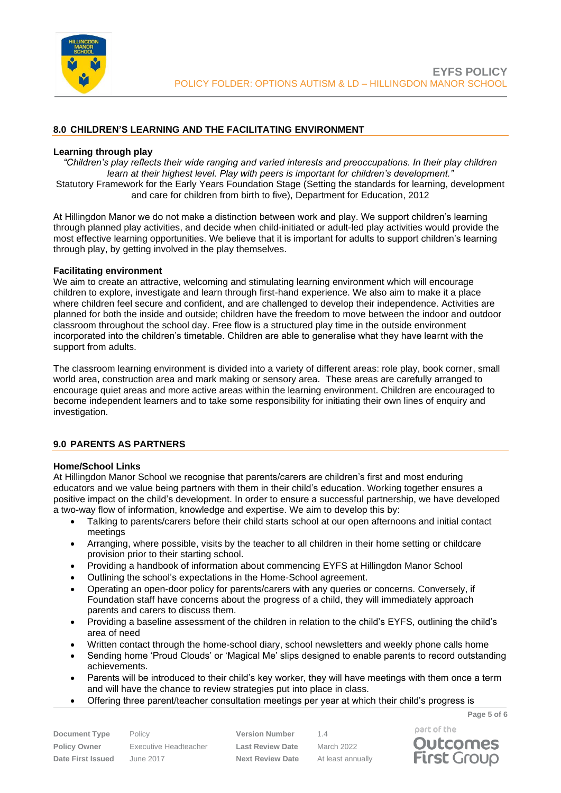

# **8.0 CHILDREN'S LEARNING AND THE FACILITATING ENVIRONMENT**

### **Learning through play**

*"Children's play reflects their wide ranging and varied interests and preoccupations. In their play children learn at their highest level. Play with peers is important for children's development."* Statutory Framework for the Early Years Foundation Stage (Setting the standards for learning, development and care for children from birth to five), Department for Education, 2012

At Hillingdon Manor we do not make a distinction between work and play. We support children's learning through planned play activities, and decide when child-initiated or adult-led play activities would provide the most effective learning opportunities. We believe that it is important for adults to support children's learning through play, by getting involved in the play themselves.

### **Facilitating environment**

We aim to create an attractive, welcoming and stimulating learning environment which will encourage children to explore, investigate and learn through first-hand experience. We also aim to make it a place where children feel secure and confident, and are challenged to develop their independence. Activities are planned for both the inside and outside; children have the freedom to move between the indoor and outdoor classroom throughout the school day. Free flow is a structured play time in the outside environment incorporated into the children's timetable. Children are able to generalise what they have learnt with the support from adults.

The classroom learning environment is divided into a variety of different areas: role play, book corner, small world area, construction area and mark making or sensory area. These areas are carefully arranged to encourage quiet areas and more active areas within the learning environment. Children are encouraged to become independent learners and to take some responsibility for initiating their own lines of enquiry and investigation.

# <span id="page-4-0"></span>**9.0 PARENTS AS PARTNERS**

### **Home/School Links**

At Hillingdon Manor School we recognise that parents/carers are children's first and most enduring educators and we value being partners with them in their child's education. Working together ensures a positive impact on the child's development. In order to ensure a successful partnership, we have developed a two-way flow of information, knowledge and expertise. We aim to develop this by:

- Talking to parents/carers before their child starts school at our open afternoons and initial contact meetings
- Arranging, where possible, visits by the teacher to all children in their home setting or childcare provision prior to their starting school.
- Providing a handbook of information about commencing EYFS at Hillingdon Manor School
- Outlining the school's expectations in the Home-School agreement.
- Operating an open-door policy for parents/carers with any queries or concerns. Conversely, if Foundation staff have concerns about the progress of a child, they will immediately approach parents and carers to discuss them.
- Providing a baseline assessment of the children in relation to the child's EYFS, outlining the child's area of need
- Written contact through the home-school diary, school newsletters and weekly phone calls home
- Sending home 'Proud Clouds' or 'Magical Me' slips designed to enable parents to record outstanding achievements.
- Parents will be introduced to their child's key worker, they will have meetings with them once a term and will have the chance to review strategies put into place in class.
- Offering three parent/teacher consultation meetings per year at which their child's progress is

**Document Type** Policy **Version Number** 1.4

**Policy Owner** Executive Headteacher **Last Review Date** March 2022 **Date First Issued** June 2017 **Next Review Date** At least annually

part of the **Outcomes First Group** 

**Page 5 of 6**